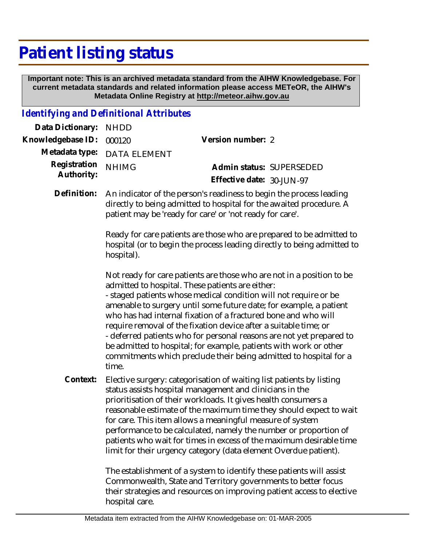## **Patient listing status**

 **Important note: This is an archived metadata standard from the AIHW Knowledgebase. For current metadata standards and related information please access METeOR, the AIHW's Metadata Online Registry at http://meteor.aihw.gov.au**

## *Identifying and Definitional Attributes*

| Data Dictionary:           | <b>NHDD</b>                                                                                                                                                   |                                                                                                                                                                                                                                                                                                                                                                                                                                                                                                                                                                                                                             |  |
|----------------------------|---------------------------------------------------------------------------------------------------------------------------------------------------------------|-----------------------------------------------------------------------------------------------------------------------------------------------------------------------------------------------------------------------------------------------------------------------------------------------------------------------------------------------------------------------------------------------------------------------------------------------------------------------------------------------------------------------------------------------------------------------------------------------------------------------------|--|
| Knowledgebase ID:          | 000120                                                                                                                                                        | Version number: 2                                                                                                                                                                                                                                                                                                                                                                                                                                                                                                                                                                                                           |  |
| Metadata type:             | <b>DATA ELEMENT</b>                                                                                                                                           |                                                                                                                                                                                                                                                                                                                                                                                                                                                                                                                                                                                                                             |  |
| Registration<br>Authority: | <b>NHIMG</b>                                                                                                                                                  | Admin status: SUPERSEDED<br>Effective date: 30-JUN-97                                                                                                                                                                                                                                                                                                                                                                                                                                                                                                                                                                       |  |
| Definition:                |                                                                                                                                                               | An indicator of the person's readiness to begin the process leading<br>directly to being admitted to hospital for the awaited procedure. A<br>patient may be 'ready for care' or 'not ready for care'.                                                                                                                                                                                                                                                                                                                                                                                                                      |  |
|                            | Ready for care patients are those who are prepared to be admitted to<br>hospital (or to begin the process leading directly to being admitted to<br>hospital). |                                                                                                                                                                                                                                                                                                                                                                                                                                                                                                                                                                                                                             |  |
|                            | time.                                                                                                                                                         | Not ready for care patients are those who are not in a position to be<br>admitted to hospital. These patients are either:<br>- staged patients whose medical condition will not require or be<br>amenable to surgery until some future date; for example, a patient<br>who has had internal fixation of a fractured bone and who will<br>require removal of the fixation device after a suitable time; or<br>- deferred patients who for personal reasons are not yet prepared to<br>be admitted to hospital; for example, patients with work or other<br>commitments which preclude their being admitted to hospital for a |  |
| Context:                   |                                                                                                                                                               | Elective surgery: categorisation of waiting list patients by listing<br>status assists hospital management and clinicians in the<br>prioritisation of their workloads. It gives health consumers a<br>reasonable estimate of the maximum time they should expect to wait<br>for care. This item allows a meaningful measure of system<br>performance to be calculated, namely the number or proportion of<br>patients who wait for times in excess of the maximum desirable time<br>limit for their urgency category (data element Overdue patient).                                                                        |  |
|                            |                                                                                                                                                               | The establishment of a system to identify these patients will assist<br>Commonwealth, State and Territory governments to better focus                                                                                                                                                                                                                                                                                                                                                                                                                                                                                       |  |

Commonwealth, State and Territory governments to better focus their strategies and resources on improving patient access to elective hospital care.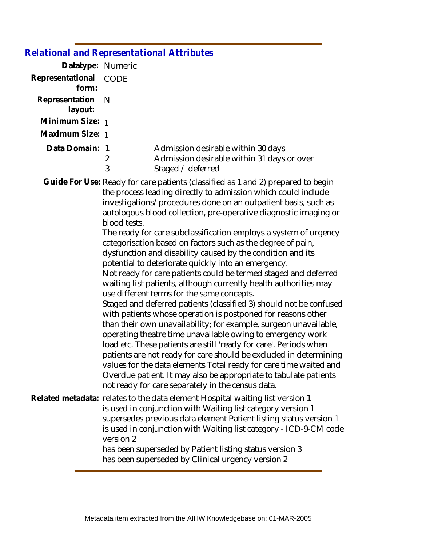| elational and Representational Attributes |                     |                                                                                                                                                                                                                                                                                                                                                                                                                                                                                                                                                                                                                                                                                                                                                                                                                                                                                                                                                                                                                                                                                                                                                                                                                                                                                                                                                      |
|-------------------------------------------|---------------------|------------------------------------------------------------------------------------------------------------------------------------------------------------------------------------------------------------------------------------------------------------------------------------------------------------------------------------------------------------------------------------------------------------------------------------------------------------------------------------------------------------------------------------------------------------------------------------------------------------------------------------------------------------------------------------------------------------------------------------------------------------------------------------------------------------------------------------------------------------------------------------------------------------------------------------------------------------------------------------------------------------------------------------------------------------------------------------------------------------------------------------------------------------------------------------------------------------------------------------------------------------------------------------------------------------------------------------------------------|
| Datatype: Numeric                         |                     |                                                                                                                                                                                                                                                                                                                                                                                                                                                                                                                                                                                                                                                                                                                                                                                                                                                                                                                                                                                                                                                                                                                                                                                                                                                                                                                                                      |
| Representational<br>form:                 | <b>CODE</b>         |                                                                                                                                                                                                                                                                                                                                                                                                                                                                                                                                                                                                                                                                                                                                                                                                                                                                                                                                                                                                                                                                                                                                                                                                                                                                                                                                                      |
| Representation<br>layout:                 | N                   |                                                                                                                                                                                                                                                                                                                                                                                                                                                                                                                                                                                                                                                                                                                                                                                                                                                                                                                                                                                                                                                                                                                                                                                                                                                                                                                                                      |
| Minimum Size: 1                           |                     |                                                                                                                                                                                                                                                                                                                                                                                                                                                                                                                                                                                                                                                                                                                                                                                                                                                                                                                                                                                                                                                                                                                                                                                                                                                                                                                                                      |
| Maximum Size: 1                           |                     |                                                                                                                                                                                                                                                                                                                                                                                                                                                                                                                                                                                                                                                                                                                                                                                                                                                                                                                                                                                                                                                                                                                                                                                                                                                                                                                                                      |
| Data Domain: 1                            | $\overline{2}$<br>3 | Admission desirable within 30 days<br>Admission desirable within 31 days or over<br>Staged / deferred                                                                                                                                                                                                                                                                                                                                                                                                                                                                                                                                                                                                                                                                                                                                                                                                                                                                                                                                                                                                                                                                                                                                                                                                                                                |
|                                           | blood tests.        | Guide For Use: Ready for care patients (classified as 1 and 2) prepared to begin<br>the process leading directly to admission which could include<br>investigations/procedures done on an outpatient basis, such as<br>autologous blood collection, pre-operative diagnostic imaging or<br>The ready for care subclassification employs a system of urgency<br>categorisation based on factors such as the degree of pain,<br>dysfunction and disability caused by the condition and its<br>potential to deteriorate quickly into an emergency.<br>Not ready for care patients could be termed staged and deferred<br>waiting list patients, although currently health authorities may<br>use different terms for the same concepts.<br>Staged and deferred patients (classified 3) should not be confused<br>with patients whose operation is postponed for reasons other<br>than their own unavailability; for example, surgeon unavailable,<br>operating theatre time unavailable owing to emergency work<br>load etc. These patients are still 'ready for care'. Periods when<br>patients are not ready for care should be excluded in determining<br>values for the data elements Total ready for care time waited and<br>Overdue patient. It may also be appropriate to tabulate patients<br>not ready for care separately in the census data. |
|                                           | version 2           | Related metadata: relates to the data element Hospital waiting list version 1<br>is used in conjunction with Waiting list category version 1<br>supersedes previous data element Patient listing status version 1<br>is used in conjunction with Waiting list category - ICD-9-CM code                                                                                                                                                                                                                                                                                                                                                                                                                                                                                                                                                                                                                                                                                                                                                                                                                                                                                                                                                                                                                                                               |

has been superseded by Patient listing status version 3 has been superseded by Clinical urgency version 2